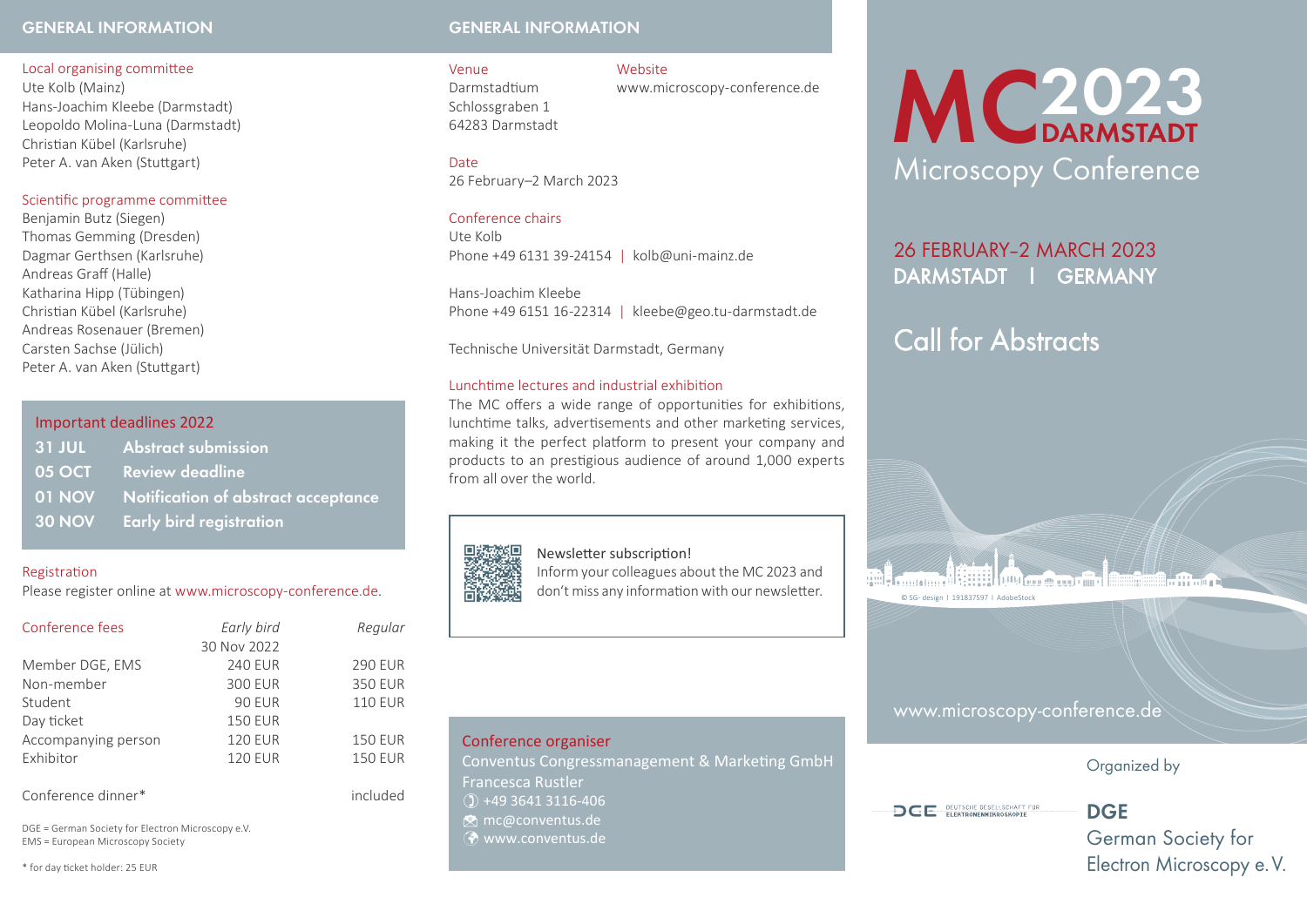### **General information General information**

### Local organising committee

Ute Kolb (Mainz) Hans-Joachim Kleebe (Darmstadt) Leopoldo Molina-Luna (Darmstadt) Christian Kübel (Karlsruhe) Peter A. van Aken (Stuttgart)

### Scientific programme committee

Benjamin Butz (Siegen) Thomas Gemming (Dresden) Dagmar Gerthsen (Karlsruhe) Andreas Graff (Halle) Katharina Hipp (Tübingen) Christian Kübel (Karlsruhe) Andreas Rosenauer (Bremen) Carsten Sachse (Jülich) Peter A. van Aken (Stuttgart)

### Important deadlines 2022

| 31 JUL Abstract submission                 |
|--------------------------------------------|
| 05 OCT Review deadline                     |
| 01 NOV Notification of abstract acceptance |
| 30 NOV Early bird registration             |

### Registration

Please register online at www.microscopy-conference.de.

| Conference fees     | Early bird     | Regular        |  |  |
|---------------------|----------------|----------------|--|--|
|                     | 30 Nov 2022    |                |  |  |
| Member DGE, EMS     | <b>240 EUR</b> | <b>290 EUR</b> |  |  |
| Non-member          | <b>300 EUR</b> | <b>350 EUR</b> |  |  |
| Student             | <b>90 EUR</b>  | <b>110 EUR</b> |  |  |
| Day ticket          | <b>150 EUR</b> |                |  |  |
| Accompanying person | <b>120 EUR</b> | <b>150 EUR</b> |  |  |
| Exhibitor           | <b>120 EUR</b> | <b>150 EUR</b> |  |  |
|                     |                |                |  |  |
| Conference dinner*  |                | included       |  |  |

DGE = German Society for Electron Microscopy e.V. EMS = European Microscopy Society

\* for day ticket holder: 25 EUR

### Venue Website

Darmstadtium www.microscopy-conference.de Schlossgraben 1 64283 Darmstadt

### Date

26 February–2 March 2023

### Conference chairs

Ute Kolb Phone +49 6131 39-24154 | kolb@uni-mainz.de

Hans-Joachim Kleebe Phone +49 6151 16-22314 | kleebe@geo.tu-darmstadt.de

Technische Universität Darmstadt, Germany

### Lunchtime lectures and industrial exhibition

The MC offers a wide range of opportunities for exhibitions, lunchtime talks, advertisements and other marketing services, making it the perfect platform to present your company and products to an prestigious audience of around 1,000 experts from all over the world.

### Newsletter subscription!

Inform your colleagues about the MC 2023 and don't miss any information with our newsletter.

### Conference organiser

Conventus Congressmanagement & Marketing GmbH Francesca Rustler  $() +4936413116-406$ **M** mc@conventus.de **E** www.conventus.de

# MC<sub>DARMSTADT</sub> Microscopy Conference

## 26 February–2 March 2023 Darmstadt l Germany

# Call for Abstracts

**THE REAL PROPERTY AND LODGED AT LACK AND REAL PROPERTY.** 

© SG- design l 191837597 l AdobeStock

www.microscopy-conference.de

### Organized by

**DCE** DEUTSCHE GESELLSCHAFT FÜR

**DGE**

German Society for Electron Microscopy e. V.